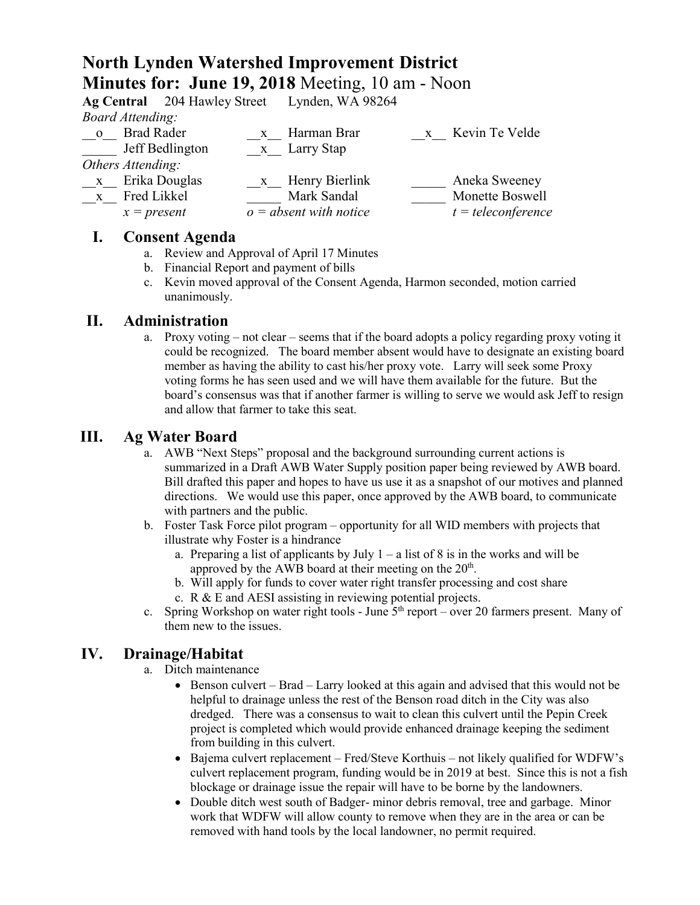# **North Lynden Watershed Improvement District Minutes for: June 19, 2018** Meeting, 10 am - Noon

|                         | Ag Central 204 Hawley Street Lynden, WA 98264 |              |                          |              |                      |
|-------------------------|-----------------------------------------------|--------------|--------------------------|--------------|----------------------|
|                         | <b>Board Attending:</b>                       |              |                          |              |                      |
| $\overline{\mathbf{O}}$ | <b>Brad Rader</b>                             | $\mathbf{X}$ | Harman Brar              | $\mathbf{X}$ | Kevin Te Velde       |
|                         | Jeff Bedlington                               |              | x Larry Stap             |              |                      |
| Others Attending:       |                                               |              |                          |              |                      |
| $\mathbf{X}$            | Erika Douglas                                 | $\mathbf{X}$ | Henry Bierlink           |              | Aneka Sweeney        |
| $\mathbf{X}$            | Fred Likkel                                   |              | Mark Sandal              |              | Monette Boswell      |
|                         | $x = present$                                 |              | $o = absent$ with notice |              | $t = teleconference$ |
|                         |                                               |              |                          |              |                      |

#### **I. Consent Agenda**

- a. Review and Approval of April 17 Minutes
- b. Financial Report and payment of bills
- c. Kevin moved approval of the Consent Agenda, Harmon seconded, motion carried unanimously.

#### **II. Administration**

a. Proxy voting – not clear – seems that if the board adopts a policy regarding proxy voting it could be recognized. The board member absent would have to designate an existing board member as having the ability to cast his/her proxy vote. Larry will seek some Proxy voting forms he has seen used and we will have them available for the future. But the board's consensus was that if another farmer is willing to serve we would ask Jeff to resign and allow that farmer to take this seat.

#### **III. Ag Water Board**

- a. AWB "Next Steps" proposal and the background surrounding current actions is summarized in a Draft AWB Water Supply position paper being reviewed by AWB board. Bill drafted this paper and hopes to have us use it as a snapshot of our motives and planned directions. We would use this paper, once approved by the AWB board, to communicate with partners and the public.
- b. Foster Task Force pilot program opportunity for all WID members with projects that illustrate why Foster is a hindrance
	- a. Preparing a list of applicants by July  $1 a$  list of 8 is in the works and will be approved by the AWB board at their meeting on the 20<sup>th</sup>.
	- b. Will apply for funds to cover water right transfer processing and cost share
	- c. R & E and AESI assisting in reviewing potential projects.
- c. Spring Workshop on water right tools June  $5<sup>th</sup>$  report over 20 farmers present. Many of them new to the issues.

## **IV. Drainage/Habitat**

- a. Ditch maintenance
	- Benson culvert Brad Larry looked at this again and advised that this would not be helpful to drainage unless the rest of the Benson road ditch in the City was also dredged. There was a consensus to wait to clean this culvert until the Pepin Creek project is completed which would provide enhanced drainage keeping the sediment from building in this culvert.
	- Bajema culvert replacement Fred/Steve Korthuis not likely qualified for WDFW's culvert replacement program, funding would be in 2019 at best. Since this is not a fish blockage or drainage issue the repair will have to be borne by the landowners.
	- Double ditch west south of Badger- minor debris removal, tree and garbage. Minor work that WDFW will allow county to remove when they are in the area or can be removed with hand tools by the local landowner, no permit required.